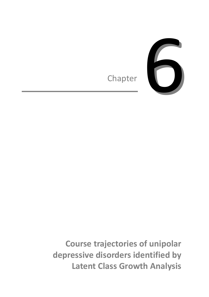

**Course trajectories of unipolar depressive disorders identified by Latent Class Growth Analysis**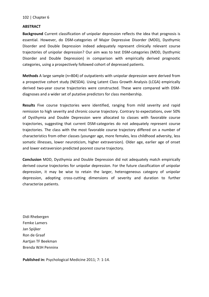### **ABSTRACT**

**Background** Current classification of unipolar depression reflects the idea that prognosis is essential. However, do DSM-categories of Major Depressive Disorder (MDD), Dysthymic Disorder and Double Depression indeed adequately represent clinically relevant course trajectories of unipolar depression? Our aim was to test DSM-categories (MDD, Dysthymic Disorder and Double Depression) in comparison with empirically derived prognostic categories, using a prospectively followed cohort of depressed patients.

**Methods** A large sample (n=804) of outpatients with unipolar depression were derived from a prospective cohort study (NESDA). Using Latent Class Growth Analysis (LCGA) empirically derived two-year course trajectories were constructed. These were compared with DSMdiagnoses and a wider set of putative predictors for class membership.

**Results** Five course trajectories were identified, ranging from mild severity and rapid remission to high severity and chronic course trajectory. Contrary to expectations, over 50% of Dysthymia and Double Depression were allocated to classes with favorable course trajectories, suggesting that current DSM-categories do not adequately represent course trajectories. The class with the most favorable course trajectory differed on a number of characteristics from other classes (younger age, more females, less childhood adversity, less somatic illnesses, lower neuroticism, higher extraversion). Older age, earlier age of onset and lower extraversion predicted poorest course trajectory.

**Conclusion** MDD, Dysthymia and Double Depression did not adequately match empirically derived course trajectories for unipolar depression. For the future classification of unipolar depression, it may be wise to retain the larger, heterogeneous category of unipolar depression, adopting cross-cutting dimensions of severity and duration to further characterize patients.

Didi Rhebergen Femke Lamers Jan Spijker Ron de Graaf Aartjan TF Beekman Brenda WJH Penninx

**Published in:** Psychological Medicine 2011; 7: 1-14.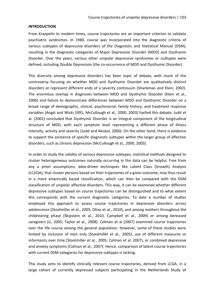# **INTRODUCTION**

From Kraepelin to modern times, course trajectories are an important criterion to validate psychiatric syndromes. In 1980, course was incorporated into the diagnostic criteria of various subtypes of depressive disorders of the Diagnostic and Statistical Manual (DSM), resulting in the diagnostic categories of Major Depressive Disorder (MDD) and Dysthymic Disorder. Over the years, various other unipolar depressive syndromes or subtypes were defined, including Double Depression (the co-occurrence of MDD and Dysthymic Disorder).

This diversity among depressive disorders has been topic of debate, with much of the controversy focusing on whether MDD and Dysthymic Disorder are qualitatively distinct disorders or represent different ends of a severity continuum (Shankman and Klein, 2002). The enormous overlap in diagnoses between MDD and Dysthymic Disorder (Klein et al., 2006) and failure to demonstrate differences between MDD and Dysthymic Disorder on a broad range of demographic, clinical, psychosocial, family history, and treatment response variables (Angst and Wicki 1991; McCullough et al., 2000, 2003) fuelled this debate. Judd et al. (2002) concluded that Dysthymic Disorder is an integral component of the longitudinal structure of MDD, with each symptom level representing a different phase of illness intensity, activity and severity (Judd and Akiskal, 2000). On the other hand, there is evidence to support the existence of specific diagnostic subtypes within the larger group of affective disorders, such as chronic depression (McCullough et al., 2000, 2003).

In order to study the validity of various depressive subtypes, statistical methods designed to cluster heterogeneous outcomes naturally occurring in the data can be helpful. Free from any a priori assumptions, data-driven techniques like Latent Class (Growth) Analysis (LC(G)A), that cluster persons based on their trajectories of a given outcome, may thus result in a more empirically based classification, which can then be compared with the DSM classification of unipolar affective disorders. This way, it can be examined whether different depressive subtypes based on course trajectories can be distinguished and to what extent this corresponds with the current diagnostic categories. To date a number of studies employed this approach to assess course trajectories in depressive disorders across adolescence (Stoolmiller et al., 2005; Olino et al., 2010), and among mothers throughout the childrearing phase (Skipstein et al., 2010, Campbell et al., 2009) or among bereaved caregivers (Li, 2005; Taylor et al., 2008). Colman et al (2007) examined course trajectories over the life course among the general population. However, some of these studies were limited by inclusion of men only (Stoolmiller et al., 2005), use of different measures or informants over time (Stoolmiller et al., 2005; Colman et al. 2007), or combined depressive and anxiety symptoms (Colman et al., 2007). Hence, comparison of latent course trajectories with current DSM-categories for depressive subtypes is lacking.

This study aims to identify clinically relevant course trajectories, derived from LCGA, in a large cohort of currently depressed subjects participating in the Netherlands Study of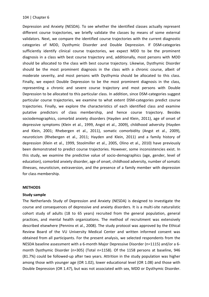Depression and Anxiety (NESDA). To see whether the identified classes actually represent different course trajectories, we briefly validate the classes by means of some external validators. Next, we compare the identified course trajectories with the current diagnostic categories of MDD, Dysthymic Disorder and Double Depression. If DSM-categories sufficiently identify clinical course trajectories, we expect MDD to be the prominent diagnosis in a class with best course trajectory and, additionally, most persons with MDD should be allocated to the class with best course trajectory. Likewise, Dysthymic Disorder should be the most prominent diagnosis in the class with a chronic course, albeit of moderate severity, and most persons with Dysthymia should be allocated to this class. Finally, we expect Double Depression to be the most prominent diagnosis in the class, representing a chronic and severe course trajectory and most persons with Double Depression to be allocated to this particular class. In addition, since DSM-categories suggest particular course trajectories, we examine to what extent DSM-categories predict course trajectories. Finally, we explore the characteristics of each identified class and examine putative predictors of class membership, and hence course trajectory. Besides sociodemographics, comorbid anxiety disorders (Hayden and Klein, 2011), age of onset of depressive symptoms (Klein et al., 1999, Angst et al., 2009), childhood adversity (Hayden and Klein, 2001; Rhebergen et al., 2011), somatic comorbidity (Angst et al., 2009), neuroticism (Rhebergen et al., 2011; Hayden and Klein, 2011) and a family history of depression (Klein et al., 1999, Stoolmiller et al., 2005, Olino et al., 2010) have previously been demonstrated to predict course trajectories. However, some inconsistencies exist. In this study, we examine the predictive value of socio-demographics (age, gender, level of education), comorbid anxiety disorder, age of onset, childhood adversity, number of somatic illnesses, neuroticism, extraversion, and the presence of a family member with depression for class membership.

### **METHODS**

### **Study sample**

The Netherlands Study of Depression and Anxiety (NESDA) is designed to investigate the course and consequences of depressive and anxiety disorders. It is a multi-site naturalistic cohort study of adults (18 to 65 years) recruited from the general population, general practices, and mental health organizations. The method of recruitment was extensively described elsewhere (Penninx et al., 2008). The study protocol was approved by the Ethical Review Board of the VU University Medical Center and written informed consent was obtained from all participants. For the present analysis, we selected respondents from the NESDA baseline assessment with a 6-month Major Depressive Disorder (n=1115) and/or a 6 month Dysthymic Disorder (n=305) (Total n=1158). Of the 1158 persons at baseline, 946 (81.7%) could be followed-up after two years. Attrition in the study population was higher among those with younger age (OR 1.02), lower educational level (OR 1.08) and those with Double Depression (OR 1.47), but was not associated with sex, MDD or Dysthymic Disorder.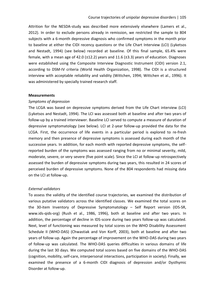Attrition for the NESDA-study was described more extensively elsewhere (Lamers et al., 2012). In order to exclude persons already in remission, we restricted the sample to 804 subjects with a 6-month depressive diagnosis who confirmed symptoms in the month prior to baseline at either the CIDI recency questions or the Life Chart Interview (LCI) (Lyketsos and Nestadt, 1994) (see below) recorded at baseline. Of this final sample, 65.4% were female, with a mean age of 42.0  $(\pm 12.2)$  years and 11.6  $(\pm 3.3)$  years of education. Diagnoses were established using the Composite Interview Diagnostic Instrument (CIDI) version 2.1, according to DSM-IV criteria (World Health Organization, 1998). The CIDI is a structured interview with acceptable reliability and validity (Wittchen, 1994; Wittchen et al., 1996). It was administered by specially trained research staff.

#### **Measurements**

#### *Symptoms of depression*

The LCGA was based on depressive symptoms derived from the Life Chart interview (LCI) (Lyketsos and Nestadt, 1994). The LCI was assessed both at baseline and after two years of follow-up by a trained interviewer. Baseline LCI served to compute a measure of duration of depressive symptomatology (see below). LCI at 2-year follow-up provided the data for the LCGA. First, the occurrence of life events in a particular period is explored to re-fresh memory and then presence of depressive symptoms is assessed during each month of the successive years. In addition, for each month with reported depressive symptoms, the selfreported burden of the symptoms was assessed ranging from no or minimal severity, mild, moderate, severe, or very severe (five point scale). Since the LCI at follow-up retrospectively assessed the burden of depressive symptoms during two years, this resulted in 24 scores of perceived burden of depressive symptoms. None of the 804 respondents had missing data on the LCI at follow-up.

### *External validators*

To assess the validity of the identified course trajectories, we examined the distribution of various putative validators across the identified classes. We examined the total scores on the 30-item Inventory of Depressive Symptomatology – Self Report version (IDS-SR, [www.ids-qids-org\)](http://www.ids-qids-org/) (Rush et al., 1986, 1996), both at baseline and after two years. In addition, the percentage of decline in IDS-score during two years follow-up was calculated. Next, level of functioning was measured by total scores on the WHO Disability Assessment Schedule II (WHO-DAS) (Chwastiak and Von Korff, 2003), both at baseline and after two years of follow-up. Again the percentage of improvement on the WHO-DAS during two years of follow-up was calculated. The WHO-DAS queries difficulties in various domains of life during the last 30 days. We computed total scores based on five domains of the WHO-DAS (cognition, mobility, self-care, interpersonal interactions, participation in society). Finally, we examined the presence of a 6-month CIDI diagnosis of depression and/or Dysthymic Disorder at follow-up.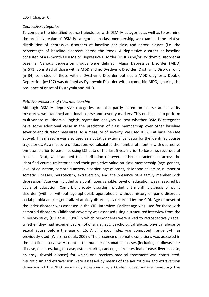## *Depressive categories*

To compare the identified course trajectories with DSM-IV-categories as well as to examine the predictive value of DSM-IV-categories on class membership, we examined the relative distribution of depressive disorders at baseline per class and across classes (i.e. the percentages of baseline disorders across the rows). A depressive disorder at baseline consisted of a 6-month CIDI Major Depressive Disorder (MDD) and/or Dysthymic Disorder at baseline. Various depression groups were defined: Major Depressive Disorder (MDD) (n=573) consisted of those with a MDD and no Dysthymic Disorder. Dysthymic Disorder only (n=34) consisted of those with a Dysthymic Disorder but not a MDD diagnosis. Double Depression (n=197) was defined as Dysthymic Disorder with a comorbid MDD, ignoring the sequence of onset of Dysthymia and MDD.

# *Putative predictors of class membership*

Although DSM-IV depressive categories are also partly based on course and severity measures, we examined additional course and severity markers. This enables us to perform multivariate multinomial logistic regression analyses to test whether DSM-IV-categories have some additional value in the prediction of class membership over other baseline severity and duration measures. As a measure of severity, we used IDS-SR at baseline (see above). This measure was also used as a putative external validator for the identified course trajectories. As a measure of duration, we calculated the number of months with depressive symptoms prior to baseline, using LCI data of the last 5 years prior to baseline, recorded at baseline. Next, we examined the distribution of several other characteristics across the identified course trajectories and their predictive value on class membership (age, gender, level of education, comorbid anxiety disorder, age of onset, childhood adversity, number of somatic illnesses, neuroticism, extraversion, and the presence of a family member with depression). Age was included as a continuous variable. Level of education was measured by years of education. Comorbid anxiety disorder included a 6-month diagnosis of panic disorder (with or without agoraphobia); agoraphobia without history of panic disorder; social phobia and/or generalized anxiety disorder, as recorded by the CIDI. Age of onset of the index disorder was assessed in the CIDI interview. Earliest age was used for those with comorbid disorders. Childhood adversity was assessed using a structured interview from the NEMESIS study (Bijl et al., 1998) in which respondents were asked to retrospectively recall whether they had experienced emotional neglect, psychological abuse, physical abuse or sexual abuse before the age of 16. A childhood index was computed (range 0-4), as previously used (Wiersma et al., 2009). The presence of somatic conditions was assessed in the baseline interview. A count of the number of somatic diseases (including cardiovascular disease, diabetes, lung disease, osteoarthritis, cancer, gastrointestinal disease, liver disease, epilepsy, thyroid disease) for which one receives medical treatment was constructed. Neuroticism and extraversion were assessed by means of the neuroticism and extraversion dimension of the NEO personality questionnaire, a 60-item questionnaire measuring five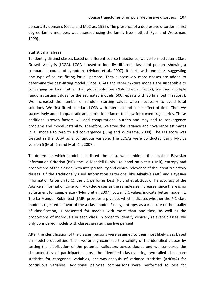personality domains (Costa and McCrae, 1995). The presence of a depressive disorder in first degree family members was assessed using the family tree method (Fyer and Weissman, 1999).

### **Statistical analyses**

To identify distinct classes based on different course trajectories, we performed Latent Class Growth Analysis (LCGA). LCGA is used to identify different classes of persons showing a comparable course of symptoms (Nylund et al., 2007). It starts with one class, suggesting one type of course fitting for all persons. Then successively more classes are added to determine the best-fitting model. Since LCGAs and other mixture models are susceptible to converging on local, rather than global solutions (Nylund et al., 2007), we used multiple random starting values for the estimated models (500 repeats with 20 final optimizations). We increased the number of random starting values when necessary to avoid local solutions. We first fitted standard LCGA with intercept and linear effect of time. Then we successively added a quadratic and cubic slope factor to allow for curved trajectories. These additional growth factors will add computational burden and may add to convergence problems and model instability. Therefore, we fixed the variance and covariance estimates in all models to zero to aid convergence (Jung and Wickrama, 2008). The LCI score was treated in the LCGA as a continuous variable. The LCGAs were conducted using M-plus version 5 (Muthén and Muthén, 2007).

To determine which model best fitted the data, we combined the smallest Bayesian Information Criterion (BIC), the Lo-Mendell-Rubin likelihood ratio test (LMR), entropy and proportions of the classes, with interpretability and clinical relevance of the latent trajectory classes. Of the traditionally used Information Criterions, like Aikaike's (AIC) and Bayesian Information Criterion (BIC), the BIC performs best (Nylund et al. 2007). The accuracy of the Aikaike's Information Criterion (AIC) decreases as the sample size increases, since there is no adjustment for sample size (Nylund et al. 2007). Lower BIC values indicate better model fit. The Lo-Mendell-Rubin test (LMR) provides a p-value, which indicates whether the *k-*1 class model is rejected in favor of the *k* class model. Finally, entropy, as a measure of the quality of classification, is presented for models with more than one class, as well as the proportions of individuals in each class. In order to identify clinically relevant classes, we only considered models with classes greater than five percent.

After the identification of the classes, persons were assigned to their most likely class based on model probabilities. Then, we briefly examined the validity of the identified classes by testing the distribution of the potential validators across classes and we compared the characteristics of participants across the identified classes using two-tailed chi-square statistics for categorical variables, one-way-analysis of variance statistics (ANOVA) for continuous variables. Additional pairwise comparisons were performed to test for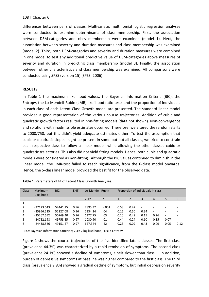differences between pairs of classes. Multivariate, multinomial logistic regression analyses were conducted to examine determinants of class membership. First, the association between DSM-categories and class membership were examined (model 1). Next, the association between severity and duration measures and class membership was examined (model 2). Third, both DSM-categories and severity and duration measures were combined in one model to test any additional predictive value of DSM-categories above measures of severity and duration in predicting class membership (model 3). Finally, the association between other characteristics and class membership was examined. All comparisons were conducted using SPSS (version 15) (SPSS, 2006).

## **RESULTS**

In Table 1 the maximum likelihood values, the Bayesian Information Criteria (BIC), the Entropy, the Lo-Mendell-Rubin (LMR) likelihood ratio tests and the proportion of individuals in each class of each Latent Class Growth model are presented. The standard linear model provided a good representation of the various course trajectories. Addition of cubic and quadratic growth factors resulted in non-fitting models (data not shown). Non-convergence and solutions with inadmissible estimates occurred. Therefore, we altered the random starts to 2000/750, but this didn't yield adequate estimates either. To test the assumption that cubic or quadratic slopes might be present in some but not all classes, we tried to constrain each respective class to follow a linear model, while allowing the other classes cubic or quadratic trajectories. This also did not yield fitting models. Hence, both cubic and quadratic models were considered as non-fitting. Although the BIC values continued to diminish in the linear model, the LMR-test failed to reach significance, from the 6-class model onwards. Hence, the 5-class linear model provided the best fit for the observed data.

| <b>Class</b> | Maximum<br>Likelihood | BIC <sup>1</sup> | <b>ENT</b> | Lo-Mendell-Rubin |         |      | Proportion of individuals in class |                          |                          |                          |      |
|--------------|-----------------------|------------------|------------|------------------|---------|------|------------------------------------|--------------------------|--------------------------|--------------------------|------|
|              |                       |                  |            | $2LL*$           | D       |      | 2                                  | 3                        | $\overline{4}$           | 5                        | 6    |
|              |                       |                  |            |                  |         |      |                                    |                          |                          |                          |      |
|              | $-27123.643$          | 54441.25         | 0.96       | 7895.32          | < 0.001 | 0.58 | 0.42                               | $\overline{\phantom{0}}$ |                          |                          |      |
| 3            | $-25956.525$          | 52127.08         | 0.96       | 2334.24          | .04     | 0.16 | 0.50                               | 0.34                     | $\overline{\phantom{a}}$ |                          |      |
| 4            | $-25267.652$          | 50769.40         | 0.96       | 1377.75          | .03     | 0.10 | 0.49                               | 0.15                     | 0.26                     | $\overline{\phantom{a}}$ |      |
| 5            | $-24752.198$          | 49758.55         | 0.97       | 1030.90          | .01     | 0.44 | 0.24                               | 0.10                     | 0.15                     | 0.07                     |      |
| 6            | $-24438.526$          | 49151.27         | 0.97       | 627.344          | .42     | 0.23 | 0.09                               | 0.43                     | 0.09                     | 0.05                     | 0.12 |

|  |  | Table 1. Parameters of fit of Latent Class Growth Analyses. |
|--|--|-------------------------------------------------------------|
|--|--|-------------------------------------------------------------|

<sup>1</sup>BIC= Bayesian Information Criterion; 2LL= 2 log likelihood; <sup>2</sup>ENT= Entropy

Figure 1 shows the course trajectories of the five identified latent classes. The first class (prevalence 44.3%) was characterized by a rapid remission of symptoms. The second class (prevalence 24.1%) showed a decline of symptoms, albeit slower than class 1. In addition, burden of depressive symptoms at baseline was higher compared to the first class. The third class (prevalence 9.8%) showed a gradual decline of symptom, but initial depression severity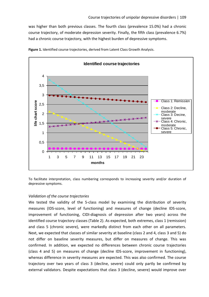was higher than both previous classes. The fourth class (prevalence 15.0%) had a chronic course trajectory, of moderate depression severity. Finally, the fifth class (prevalence 6.7%) had a chronic course trajectory, with the highest burden of depressive symptoms.



**Figure 1.** Identified course trajectories, derived from Latent Class Growth Analysis.

To facilitate interpretation, class numbering corresponds to increasing severity and/or duration of depressive symptoms.

### *Validation of the course trajectories*

We tested the validity of the 5-class model by examining the distribution of severity measures (IDS-score, level of functioning) and measures of change (decline IDS-score, improvement of functioning, CIDI-diagnosis of depression after two years) across the identified course trajectory classes (Table 2). As expected, both extremes, class 1 (remission) and class 5 (chronic severe), were markedly distinct from each other on all parameters. Next, we expected that classes of similar severity at baseline (class 2 and 4, class 3 and 5) do not differ on baseline severity measures, but differ on measures of change. This was confirmed. In addition, we expected no differences between chronic course trajectories (class 4 and 5) on measures of change (decline IDS-score, improvement in functioning), whereas difference in severity measures are expected. This was also confirmed. The course trajectory over two years of class 3 (decline, severe) could only partly be confirmed by external validators. Despite expectations that class 3 (decline, severe) would improve over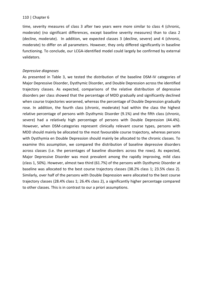time, severity measures of class 3 after two years were more similar to class 4 (chronic, moderate) (no significant differences, except baseline severity measures) than to class 2 (decline, moderate). In addition, we expected classes 3 (decline, severe) and 4 (chronic, moderate) to differ on all parameters. However, they only differed significantly in baseline functioning. To conclude, our LCGA-identified model could largely be confirmed by external validators.

# *Depressive diagnoses*

As presented in Table 3, we tested the distribution of the baseline DSM-IV categories of Major Depressive Disorder, Dysthymic Disorder, and Double Depression across the identified trajectory classes. As expected, comparisons of the relative distribution of depressive disorders per class showed that the percentage of MDD gradually and significantly declined when course trajectories worsened, whereas the percentage of Double Depression gradually rose. In addition, the fourth class (chronic, moderate) had within the class the highest relative percentage of persons with Dysthymic Disorder (9.1%) and the fifth class (chronic, severe) had a relatively high percentage of persons with Double Depression (44.4%). However, when DSM-categories represent clinically relevant course types, persons with MDD should mainly be allocated to the most favourable course trajectory, whereas persons with Dysthymia en Double Depression should mainly be allocated to the chronic classes. To examine this assumption, we compared the distribution of baseline depressive disorders across classes (i.e. the percentages of baseline disorders across the rows). As expected, Major Depressive Disorder was most prevalent among the rapidly improving, mild class (class 1, 50%). However, almost two third (61.7%) of the persons with Dysthymic Disorder at baseline was allocated to the best course trajectory classes (38.2% class 1; 23.5% class 2). Similarly, over half of the persons with Double Depression were allocated to the best course trajectory classes (28.4% class 1; 26.4% class 2), a significantly higher percentage compared to other classes. This is in contrast to our a priori assumptions.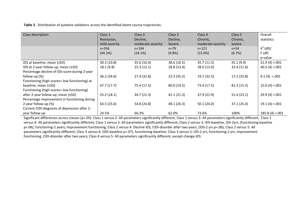**Table 2**. Distribution of putative validators across the identified latent course trajectories.

| Class description                              | Class 1       | Class 2           | Class 3     | Class 4           | Class 5     | Overall         |
|------------------------------------------------|---------------|-------------------|-------------|-------------------|-------------|-----------------|
|                                                | Remission,    | Decline,          | Decline,    | Chronic,          | Chronic,    | statistics      |
|                                                | mild severity | moderate severity | Severe      | moderate severity | severe      |                 |
|                                                | $n = 356$     | $n = 194$         | $n = 79$    | $n = 121$         | $n=54$      | $X^2$ (df)/     |
|                                                | (44.3%)       | (24.1%)           | $(9.8\%)$   | $(15.0\%)$        | (6.7%)      | F(df)           |
|                                                |               |                   |             |                   |             | p-value         |
| IDS at baseline, mean (±SD)                    | 30.3(10.8)    | 35.6 (10.4)       | 38.6 (10.5) | 35.7(11.5)        | 41.1 (9.9)  | 21.9(4) < .001  |
| IDS at 2-year follow-up, mean (±SD)            | 18.1(9.8)     | 25.3(12.1)        | 28.8 (13.4) | 28.0 (13.0)       | 33.4 (11.6) | 40.5(4) < 0.001 |
| Percentage decline of IDS-score during 2-year  |               |                   |             |                   |             |                 |
| follow-up $(\%)$                               | 36.2 (34.6)   | 27.4 (32.8)       | 23.3(35.2)  | 19.1 (32.5)       | 17.2 (25.8) | 9.1(4) < .001   |
| Functioning (high scores = low functioning) at |               |                   |             |                   |             |                 |
| baseline, mean (±SD)                           | 67.7(17.7)    | 75.4 (17.5)       | 80.0(19.5)  | 73.9 (17.5)       | 81.3(15.2)  | 15.0(4) < .001  |
| Functioning (high scores= low functioning)     |               |                   |             |                   |             |                 |
| after 2-year follow-up, mean $(\pm SD)$        | 25.2(18.1)    | 34.7 (21.3)       | 41.1(21.3)  | 37.9 (21.9)       | 51.4(23.1)  | 29.9(4) < 001   |
| Percentage improvement in functioning during   |               |                   |             |                   |             |                 |
| 2-year follow-up (%)                           | 63.5(25.6)    | 54.8 (24.8)       | 48.1 (26.3) | 50.1(24.0)        | 37.1(25.4)  | 19.1(4) < 001   |
| Current CIDI-diagnosis of depression after 2-  |               |                   |             |                   |             |                 |
| year follow-up                                 | 24.5%         | 60.3%             | 62.0%       | 73.6%             | 100%        | 185.8(4) < .001 |

Significant differences across classes (p<.05): Class 1 versus 2: All parameters significantly different; Class 1 versus 3: All parameters significantly different; Class 1 versus 4: All parameters significantly different; Class 1 versus 5: All parameters significantly different; Class 2 versus 3: IDS-baseline, IDS-2yrs, (functioning baseline p=.06), functioning-2 years, improvement functioning; Class 2 versus 4: Decline IDS, CIDI-disorder after two years, (IDS-2 yrs p=.06); Class 2 versus 5: All parameters significantly different; Class 3 versus 4: (IDS-baseline p=.07), functioning-baseline; Class 3 versus 5: IDS-2 yrs, functioning-2 yrs, improvement functioning, CIDI-disorder after two years; Class 4 versus 5: All parameters significantly different, except change-IDS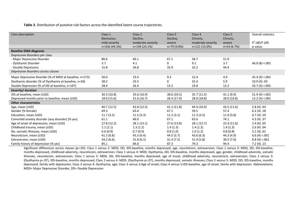**Table 3**. Distribution of putative risk factors across the identified latent course trajectories.

| Class description                                       | Class 1       | Class 2           | Class 3     | Class 4           | Class 5      | Overall statistics |
|---------------------------------------------------------|---------------|-------------------|-------------|-------------------|--------------|--------------------|
|                                                         | Remission,    | Decline,          | Decline,    | Chronic,          | Chronic,     |                    |
|                                                         | mild severity | moderate severity | severe      | moderate severity | severe       | $X^2$ (df)/F (df)  |
|                                                         | n=356 (44.3%) | n=194 (24.1%)     | n=79 (9.8%) | $n=121(15.0%)$    | $n=54(6.7%)$ | p-value            |
| <b>Baseline DSM-diagnosis</b>                           |               |                   |             |                   |              |                    |
| Depressive disorders per class                          |               |                   |             |                   |              |                    |
| - Major Depressive Disorder                             | 80.6          | 69.1              | 67.1        | 58.7              | 51.9         |                    |
| - Dysthymic Disorder                                    | 3.7           | 4.1               | 0           | 9.1               | 3.7          | 46.0(8) < .001     |
| - Double Depression                                     | 15.8          | 26.8              | 32.9        | 32.2              | 44.4         |                    |
| Depressive disorders across classes                     |               |                   |             |                   |              |                    |
| Major Depressive Disorder (% of MDD at baseline, n=573) | 50.0          | 23.4              | 9.3         | 12.4              | 4.9          | 35.4(4) < .001     |
| Dysthymic disorder (% of Dysthymia at baseline, n=34)   | 38.2          | 23.5              | 0           | 32.4              | 5.9          | 10.9(4) .03        |
| Double Depression (% of DD at baseline, n=197)          | 28.4          | 26.4              | 13.2        | 19.8              | 12.2         | 33.7(4) < .001     |
| Severity/ duration                                      |               |                   |             |                   |              |                    |
|                                                         |               |                   |             |                   |              |                    |
| IDS at baseline, mean (±SD)                             | 30.3(10.8)    | 35.6 (10.4)       | 38.6 (10.5) | 35.7(11.5)        | 41.1(9.9)    | 21.9(4) < .001     |
| Depressed months prior to baseline, mean (±SD)          | 18.0 (15.6)   | 21.6(16.7)        | 26.4 (17.9) | 28.0 (18.8)       | 28.0 (16.8)  | 12.2(4) < .001     |
| <b>Other characteristics</b>                            |               |                   |             |                   |              |                    |
| Age, mean (±SD)                                         | 40.7 (12.5)   | 42.8 (12.5)       | 41.2 (11.8) | 44.4 (10.9)       | 43.5(11.6)   | 2.8(4).03          |
| Gender (% female)                                       | 69.3          | 63.4              | 67.1        | 59.5              | 57.4         | 6.2(4).18          |
| Education, mean (±SD)                                   | 11.7(3.2)     | 11.5(3.3)         | 11.2(3.1)   | 11.3(3.5)         | 11.9(3.8)    | 0.7(4) .59         |
| Comorbid anxiety disorder (any disorder) (% yes)        | 61.1          | 66.0              | 67.1        | 63.6              | 74.1         | 4.3(4).37          |
| Age of onset of depression, mean (±SD)                  | 27.8(12.2)    | 28.1(13.1)        | 27.6 (13.8) | 28.1 (12.7)       | 22.4(11.6)   | 2.4(4).05          |
| Childhood trauma, mean (±SD)                            | 1.1(1.1)      | 1.3(1.2)          | 1.4(1.3)    | 1.4(1.3)          | 1.4(1.3)     | 2.6(4).04          |
| No. somatic illnesses, mean (±SD)                       | 0.6(0.9)      | 0.7(0.9)          | 0.8(1.0)    | 1.0(1.2)          | 0.8(0.8)     | 3.1(4).01          |
| Neuroticism, mean (±SD)                                 | 41.5(6.8)     | 43.3(6.4)         | 44.5 (5.7)  | 43.6(6.3)         | 44.3 (4.9)   | 6.6(4) < .001      |
| Extraversion, mean (±SD)                                | 34.2(6.6)     | 31.8(6.1)         | 31.4(7.2)   | 31.9(5.8)         | 30.5(7.0)    | 8.8(4) < .001      |

Significant differences across classes (p<.05): Class 1 versus 2: MDD, DD, IDS-baseline, months depressed, age, neuroticism, extraversion; Class 1 versus 3: MDD, DD, IDS-baseline, months depressed, childhood adversity, neuroticism, extraversion; Class 1 versus 4: MDD, Dysthymia, DD, IDS-baseline, months depressed, age, gender, childhood adversity, somatic illnesses, neuroticism, extraversion; Class 1 versus 5: MDD, DD, IDS-baseline, months depressed, age of onset, childhood adversity, neuroticism, extraversion; Class 2 versus 3: (Dysthymia p=.07), IDS-baseline, months depressed; Class 2 versus 4: MDD, (Dysthymia p=.07), months depressed, somatic illnesses; Class 2 versus 5: MDD, DD, IDS-baseline, months depressed, family with depression; Class 3 versus 4: Dysthymia, age; Class 3 versus 5:Age of onset; Class 4 versus 5:IDS-baseline, age of onset, family with depression. Abbreviations: MDD= Major Depressive Disorder, DD= Double Depression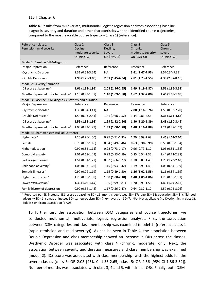**Table 4.** Results from multivariate, multinomial, logistic regression analyses associating baseline diagnosis, severity and duration and other characteristics with the identified course trajectories, compared to the most favorable course trajectory (class 1) (reference).

| Reference= class 1                                     | Class <sub>2</sub>  | Class 3             | Class 4             | Class <sub>5</sub> |  |
|--------------------------------------------------------|---------------------|---------------------|---------------------|--------------------|--|
| Remission, mild severity                               | Decline,            | Decline,            | Chronic,            | Chronic,           |  |
|                                                        | moderate severity   | Severe              | moderate severity   | severe             |  |
|                                                        | OR (95% CI)         | OR (95% CI)         | OR (95% CI)         | OR (95% CI)        |  |
| Model 1: Baseline DSM-diagnosis                        |                     |                     |                     |                    |  |
| -Major Depression                                      | Reference           | Reference           | Reference           | Reference          |  |
| -Dysthymic Disorder                                    | 1.31 (0.53-3.24)    | <b>NA</b>           | 3.41 (1.47-7.93)    | 1.570.34-7.32)     |  |
| -Double Depression                                     | 1.98 (1.29-3.05)    | 2.51 (1.45-4.34)    | 2.81 (1.73-4.55)    | 4.38 (2.37-8.10)   |  |
| Model 2: Severity/ duration                            |                     |                     |                     |                    |  |
| IDS score at baseline <sup>a</sup>                     | $1.61$ (1.33-1.95)  | $2.03(1.56-2.65)$   | 1.49 (1.19-1.87)    | 2.56 (1.86-3.52)   |  |
| Months depressed prior to baseline <sup>a</sup>        | $1.13(0.93-1.37)$   | 1.40 (1.09-1.80)    | 1.62 (1.32-2.00)    | 1.46 (1.09-1.95)   |  |
| Model 3: Baseline DSM-diagnosis, severity and duration |                     |                     |                     |                    |  |
| -Major Depression                                      | Reference           | Reference           | Reference           | Reference          |  |
| -Dysthymic disorder                                    | $1.35(0.54-3.41)$   | <b>NA</b>           | 2.80 (1.16-6.76)    | 1.58 (0.33-7.70)   |  |
| -Double Depression                                     | 1.53 (0.93-2.54)    | 1.31 (0.68-2.52)    | $1.44(0.81 - 2.56)$ | 2.35 (1.13-4.88)   |  |
| IDS score at baseline <sup>a</sup>                     | $1.59(1.31-1.93)$   | 1.99 (1.52-2.60)    | 1.50 (1.20-1.89)    | 2.48 (1.80-3.42)   |  |
| Months depressed prior to baseline <sup>a</sup>        | $1.03(0.83-1.29)$   | 1.33 (1.00-1.78)    | 1.48 (1.16-1.88)    | $1.21(0.87-1.69)$  |  |
| Model 4: Characteristics (full adjustment)             |                     |                     |                     |                    |  |
| Higher age <sup>a</sup>                                | 1.20 (0.96-1.50)    | $0.97(0.71-1.33)$   | $1.29(0.99-1.68)$   | 1.45 (1.03-2.04)   |  |
| Female                                                 | $0.78(0.53-1.16)$   | $0.84(0.49-1.46)$   | $0.63(0.38-0.99)$   | $0.55(0.30-1.04)$  |  |
| Higher education <sup>a</sup>                          | $0.97(0.82 - 1.15)$ | $0.92(0.73 - 1.17)$ | $0.96(0.79-1.17)$   | $1.06(0.81-1.38)$  |  |
| Comorbid anxiety                                       | $1.01(0.68-1.49)$   | $0.92(0.53 - 1.59)$ | $0.85(0.54-1.35)$   | 1.44 (0.72-2.88)   |  |
| Earlier age of onset                                   | $1.51(0.81 - 1.27)$ | $0.92(0.66 - 1.27)$ | $1.10(0.85-1.43)$   | 1.79 (1.23-2.63)   |  |
| Childhood adversity <sup>a</sup>                       | $1.08(0.93-1.26)$   | $1.15(0.93-1.42)$   | $1.19(0.99-1.43)$   | 1.08 (0.84-1.39)   |  |
| Somatic illnesses <sup>a</sup>                         | $0.97(0.79-1.19)$   | $1.15(0.89-1.50)$   | $1.26(1.02-1.55)$   | 1.16 (0.84-1.59)   |  |
| Higher neuroticism <sup>a</sup>                        | $1.25(0.98-1.58)$   | $1.50(1.08-2.10)$   | 1.40 (1.05-1.86)    | 1.28 (0.86-1.91)   |  |
| Lower extraversion <sup>a</sup>                        | $1.33(1.08-1.67)$   | 1.35 (0.99-1.81)    | $1.20(0.93-1.56)$   | 1.49 (1.04-2.13)   |  |
| Family history of depression                           | $0.90(0.54 - 1.48)$ | 1.17 (0.56-2.47)    | $0.64(0.37-1.12)$   | 2.57 (0.75-8.76)   |  |

<sup>a</sup> Reported per SD increase: IDS-score at baseline SD= 11; months depressed SD= 17; age SD= 12; education SD= 3; childhood adversity SD= 1; somatic illnesses SD= 1; neuroticism SD= 7; extraversion SD=7. NA= Not applicable (no Dysthymics in class 3). Bold is significant association (p<.05)

To further test the association between DSM categories and course trajectories, we conducted multinomial, multivariate, logistic regression analyses. First, the association between DSM-categories and class membership was examined (model 1) (reference class 1 (rapid remission and mild severity)). As can be seen in Table 4, the association between Double Depression and class membership showed an increase in ORs across the classes. Dysthymic Disorder was associated with class 4 (chronic, moderate) only. Next, the association between severity and duration measures and class membership was examined (model 2). IDS-score was associated with class membership, with the highest odds for the severe classes (class 3: OR 2.03 [95% CI 1.56-2.65]; class 5: OR 2.56 [95% CI 1.86-3.52]). Number of months was associated with class 3, 4 and 5, with similar ORs. Finally, both DSM-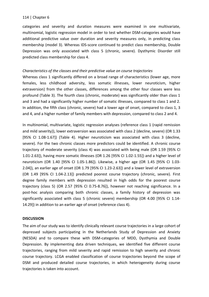categories and severity and duration measures were examined in one multivariate, multinomial, logistic regression model in order to test whether DSM-categories would have additional predictive value over duration and severity measures only, in predicting class membership (model 3). Whereas IDS-score continued to predict class membership, Double Depression was only associated with class 5 (chronic, severe). Dysthymic Disorder still predicted class membership for class 4.

# *Characteristics of the classes and their predictive value on course trajectories*

Whereas class 1 significantly differed on a broad range of characteristics (lower age, more females, less childhood adversity, less somatic illnesses, lower neuroticism, higher extraversion) from the other classes, differences among the other four classes were less profound (Table 3). The fourth class (chronic, moderate) was significantly older than class 1 and 3 and had a significantly higher number of somatic illnesses, compared to class 1 and 2. In addition, the fifth class (chronic, severe) had a lower age of onset, compared to class 1, 3 and 4, and a higher number of family members with depression, compared to class 2 and 4.

In multinomial, multivariate, logistic regression analyses (reference class 1 (rapid remission and mild severity)), lower extraversion was associated with class 2 (decline, severe) (OR 1.33 [95% CI 1.08-1.67]) (Table 4). Higher neuroticism was associated with class 3 (decline, severe). For the two chronic classes more predictors could be identified. A chronic course trajectory of moderate severity (class 4) was associated with being male (OR 1.59 [95% CI 1.01-2.63]), having more somatic illnesses (OR 1.26 [95% CI 1.02-1.55]) and a higher level of neuroticism (OR 1.40 [95% CI 1.05-1.86]). Likewise, a higher age (OR 1.45 [95% CI 1.03- 2.04]), an earlier age of onset (OR 1.79 [95% CI 1.23-2.63]) and a lower level of extraversion (OR 1.49 [95% CI 1.04-2.13]) predicted poorest course trajectory (chronic, severe). First degree family members with depression resulted in high odds for the poorest course trajectory (class 5) (OR 2.57 [95% CI 0.75-8.76]), however not reaching significance. In a post-hoc analysis comparing both chronic classes, a family history of depression was significantly associated with class 5 (chronic severe) membership (OR 4.00 [95% CI 1.14- 14.29]) in addition to an earlier age of onset (reference class 4).

# **DISCUSSION**

The aim of our study was to identify clinically relevant course trajectories in a large cohort of depressed subjects participating in the Netherlands Study of Depression and Anxiety (NESDA) and to compare these with DSM-categories of MDD, Dysthymia and Double Depression. By implementing data driven techniques, we identified five different course trajectories, ranging from mild severity and rapid remission to high severity and chronic course trajectory. LCGA enabled classification of course trajectories beyond the scope of DSM and produced detailed course trajectories, in which heterogeneity during course trajectories is taken into account.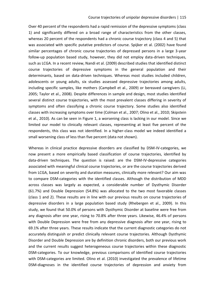Over 40 percent of the respondents had a rapid remission of the depressive symptoms (class 1) and significantly differed on a broad range of characteristics from the other classes, whereas 20 percent of the respondents had a chronic course trajectory (class 4 and 5) that was associated with specific putative predictors of course. Spijker et al. (2002) have found similar percentages of chronic course trajectories of depressed persons in a large 3-year follow-up population based study, however, they did not employ data-driven techniques, such as LCGA. In a recent review, Nandi et al. (2009) described studies that identified distinct course trajectories of depressive symptoms in the general population and their determinants, based on data-driven techniques. Whereas most studies included children, adolescents or young adults, six studies assessed depressive trajectories among adults, including specific samples, like mothers (Campbell et al., 2009) or bereaved caregivers (Li, 2005; Taylor et al., 2008). Despite differences in sample and design, most studies identified several distinct course trajectories, with the most prevalent classes differing in severity of symptoms and often classifying a chronic course trajectory. Some studies also identified classes with increasing symptoms over time (Colman et al., 2007; Olino et al., 2010; Skipstein et al., 2010). As can be seen in Figure 1, a worsening class is lacking in our model. Since we limited our model to clinically relevant classes, representing at least five percent of the respondents, this class was not identified. In a higher-class model we indeed identified a small worsening class of less than five percent (data not shown).

Whereas in clinical practice depressive disorders are classified by DSM-IV-categories, we now present a more empirically based classification of course trajectories, identified by data-driven techniques. The question is raised: are the DSM-IV-depressive categories associated with meaningful clinical course trajectories, or are the course trajectories derived from LCGA, based on severity and duration measures, clinically more relevant? Our aim was to compare DSM-categories with the identified classes. Although the distribution of MDD across classes was largely as expected, a considerable number of Dysthymic Disorder (61.7%) and Double Depression (54.8%) was allocated to the two most favorable classes (class 1 and 2). These results are in line with our previous results on course trajectories of depressive disorders in a large population based study (Rhebergen et al., 2009). In this study, we found that 50.0% of persons with Dysthymic Disorder at baseline were free from any diagnosis after one year, rising to 70.8% after three years. Likewise, 46.4% of persons with Double Depression were free from any depressive diagnosis after one year, rising to 69.1% after three years. These results indicate that the current diagnostic categories do not accurately distinguish or predict clinically relevant course trajectories. Although Dysthymic Disorder and Double Depression are by definition chronic disorders, both our previous work and the current results suggest heterogeneous course trajectories within these diagnostic DSM-categories. To our knowledge, previous comparisons of identified course trajectories with DSM-categories are limited. Olino et al. (2010) investigated the prevalence of lifetime DSM-diagnoses in the identified course trajectories of depression and anxiety from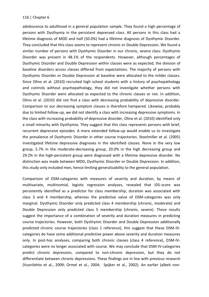adolescence to adulthood in a general population sample. They found a high percentage of persons with Dysthymia in the persistent depressed class. All persons in this class had a lifetime diagnosis of MDD and half (50.0%) had a lifetime diagnosis of Dysthymic Disorder. They concluded that this class seems to represent chronic or Double Depression. We found a similar number of persons with Dysthymic Disorder in our chronic, severe class: Dysthymic Disorder was present in 48.1% of the respondents. However, although percentages of Dysthymic Disorder and Double Depression within classes were as expected, the division of baseline disorders across classes differed from expectations. The majority of persons with Dysthymic Disorder or Double Depression at baseline were allocated to the milder classes. Since Olino et al. (2010) recruited high school students with a history of psychopathology and controls without psychopathology, they did not investigate whether persons with Dysthymic Disorder were allocated as expected to the chronic classes or not. In addition, Olino et al. (2010) did not find a class with decreasing probability of depressive disorder. Comparison to our decreasing symptom classes is therefore hampered. Likewise, probably due to limited follow-up, we did not identify a class with increasing depressive symptoms. In the class with increasing probability of depressive disorder, Olino et al. (2010) identified only a small minority with Dysthymia. They suggest that this class represents persons with brief, recurrent depressive episodes. A more extended follow-up would enable us to investigate the prevalence of Dysthymic Disorder in other course trajectories. Stoolmiller et al. (2005) investigated lifetime depressive diagnoses in the identified classes. None in the very low group, 5.7% in the moderate-decreasing group, 20.0% in the high decreasing group and 29.2% in the high-persistent group were diagnosed with a lifetime depressive disorder. No distinction was made between MDD, Dysthymic Disorder or Double Depression. In addition, this study only included men, hence limiting generalizability to the general population.

Comparison of DSM-categories with measures of severity and duration, by means of multivariate, multinomial, logistic regression analyses, revealed that IDS-score was persistently identified as a predictor for class membership, duration was associated with class 3 and 4 membership, whereas the predictive value of DSM-categories was only marginal. Dysthymic Disorder only predicted class 4 membership (chronic, moderate) and Double Depression only predicted class 5 membership (chronic, severe). These results suggest the importance of a combination of severity and duration measures in predicting course trajectories. However, both Dysthymic Disorder and Double Depression additionally predicted chronic course trajectories (class 1 reference), this suggest that these DSM-IVcategories do have some additional predictive power above severity and duration measures only. In post-hoc analyses, comparing both chronic classes (class 4 reference), DSM-IVcategories were no longer associated with course. We may conclude that DSM-IV-categories predict chronic depression, compared to non-chronic depression, but they do not differentiate between chronic depressions. These findings are in line with previous research (Vuorilehto et al., 2009; Ormel et al., 2004; Spijker et al., 2002). An earlier (albeit non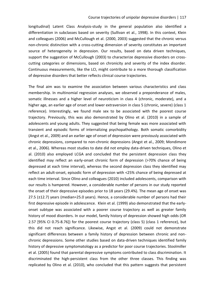longitudinal) Latent Class Analysis-study in the general population also identified a differentiation in subclasses based on severity (Sullivan et al., 1998). In this context, Klein and colleagues (2006) and McCullough et al. (2000, 2003) suggested that the chronic versus non-chronic distinction with a cross-cutting dimension of severity constitutes an important source of heterogeneity in depression. Our results, based on data driven techniques, support the suggestion of McCullough (2003) to characterize depressive disorders on crosscutting categories or dimensions, based on chronicity and severity of the index disorder. Continuous measurements, like the LCI, might contribute to a more thorough classification of depressive disorders that better reflects clinical course trajectories.

The final aim was to examine the association between various characteristics and class membership. In multinomial regression analyses, we observed a preponderance of males, somatic illnesses and a higher level of neuroticism in class 4 (chronic, moderate), and a higher age, an earlier age of onset and lower extraversion in class 5 (chronic, severe) (class 1 reference). Interestingly, we found male sex to be associated with the poorest course trajectory. Previously, this was also demonstrated by Olino et al. (2010) in a sample of adolescents and young adults. They suggested that being female was more associated with transient and episodic forms of internalizing psychopathology. Both somatic comorbidity (Angst et al., 2009) and an earlier age of onset of depression were previously associated with chronic depressions, compared to non-chronic depressions (Angst et al., 2009; Mondimore et al., 2006). Whereas most studies to date did not employ data-driven techniques, Olino et al. (2010) also employed LCGA and concluded that the persistent depression class they identified may reflect an early-onset chronic form of depression (>70% chance of being depressed at each time interval), whereas the second depression class they identified may reflect an adult-onset, episodic form of depression with <25% chance of being depressed at each time interval. Since Olino and colleagues (2010) included adolescents, comparison with our results is hampered. However, a considerable number of persons in our study reported the onset of their depressive episodes prior to 18 years (29.4%). The mean age of onset was 27.5 (±12.7) years (median=25.0 years). Hence, a considerable number of persons had their first depressive episode in adolescence. Klein et al. (1999) also demonstrated that the earlyonset subtype was associated with a poorer course trajectory as well as greater family history of mood disorders. In our model, family history of depression showed high odds (OR 2.57 [95% CI 0.75-8.76]) for the poorest course trajectory (class 5) (class 1 reference), but this did not reach significance. Likewise, Angst et al. (2009) could not demonstrate significant differences between a family history of depression between chronic and nonchronic depressions. Some other studies based on data-driven techniques identified family history of depressive symptomatology as a predictor for poor course trajectories. Stoolmiller et al. (2005) found that parental depressive symptoms contributed to class discrimination. It discriminated the high-persistent class from the other three classes. This finding was replicated by Olino et al. (2010), who concluded that this pattern suggests that persistent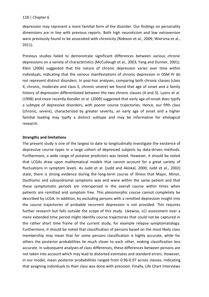depression may represent a more familial form of the disorder. Our findings on personality dimensions are in line with previous reports. Both high neuroticism and low extraversion were previously found to be associated with chronicity (Robison et al., 2009; Wiersma et al., 2011).

Previous studies failed to demonstrate significant differences between various chronic depressions on a variety of characteristics (McCullough et al., 2003; Yang and Dunner, 2001). Klein (2006) suggested that the nature of chronic depression varies over time within individuals, indicating that the various manifestations of chronic depression in DSM-IV do not represent distinct disorders. In post-hoc analyses, comparing both chronic classes (class 4, chronic, moderate and class 5, chronic severe) we found that age of onset and a family history of depression differentiated between the two chronic classes (4 and 5). Lyons et al. (1998) and more recently Kendler et al. (2009) suggested that early age-of-onset does typify a subtype of depressive disorders, with poorer course trajectories. Hence, our fifth class (chronic, severe), characterized by greater severity, an early age of onset and a higher familial loading may typify a distinct subtype and may be informative for etiological research.

# **Strengths and limitations**

The present study is one of the largest to date to longitudinally investigate the existence of depressive course types in a large cohort of depressed subjects by data-driven methods. Furthermore, a wide range of putative predictors was tested. However, it should be noted that LCGAs draw upon mathematical models that cannot account for a great variety of fluctuations in symptom levels. As Judd et al. (Judd and Akiskal, 2000; Judd et al., 2002) state, there is strong evidence during the long-term course of illness that Major, Minor, Dysthymic and subsyndromal symptoms wax and wane within the same patient and that these symptomatic periods are interspersed in the overall course within times when patients are remitted and symptom free. This pleiomorphic course cannot completely be described by LCGA. In addition, by excluding persons with a remitted depression insight into the course trajectories of probable recurrent depression is not provided. This requires further research but falls outside the scope of this study. Likewise, LCI assessment over a more extended time period might identify course trajectories that could not be captured in the rather short time frame of the current study, for example relapse symptomatology. Furthermore, it should be noted that classification of persons based on the most likely class membership may mean that for some persons classification is highly accurate, while for others the posterior probabilities lie much closer to each other, making classification less accurate. In subsequent analyses of class differences, these differences between persons are not taken into account which may lead to distorted estimates and standard errors. However, in our model, mean posterior probabilities ranged from 0.96-0.97 across classes, indicating that assigning individuals to their class was done with precision. Finally, Life Chart Interviews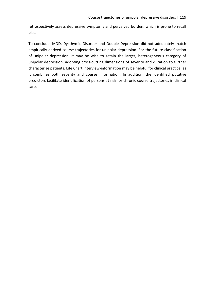retrospectively assess depressive symptoms and perceived burden, which is prone to recall bias.

To conclude, MDD, Dysthymic Disorder and Double Depression did not adequately match empirically derived course trajectories for unipolar depression. For the future classification of unipolar depression, it may be wise to retain the larger, heterogeneous category of unipolar depression, adopting cross-cutting dimensions of severity and duration to further characterize patients. Life Chart Interview-information may be helpful for clinical practice, as it combines both severity and course information. In addition, the identified putative predictors facilitate identification of persons at risk for chronic course trajectories in clinical care.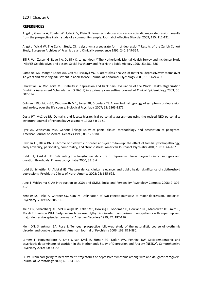#### **REFERENCES**

Angst J, Gamma A, Rossler W, Ajdacic V, Klein D. Long-term depression versus episodic major depression: results from the prospective Zurich study of a community sample. Journal of Affective Disorder 2009; 115: 112-121.

Angst J, Wicki W. The Zurich Study. XI. Is dysthymia a separate form of depression? Results of the Zurich Cohort Study. European Archives of Psychiatry and Clinical Neuroscience 1991; 240: 349-354.

Bijl R, Van Zessen G, Ravelli A, De Rijk C, Langendoen Y.The Netherlands Mental Health Survey and Incidence Study (NEMESIS): objectives and design. Social Psychiatry and Psychiatric Epidemiology 1998; 33: 581-586.

Campbell SB, Morgan-Lopez AA, Cox MJ, McLoyd VC. A latent class analysis of maternal depressivesymptoms over 12 years and offspring adjustment in adolescence. Journal of Abnormal Psychology 2009; 118: 479-493.

Chwastiak LA, Von Korff M. Disability in depression and back pain: evaluation of the World Health Organization Disability Assessment Schedule (WHO DAS II) in a primary care setting. Journal of Clinical Epidemiology 2003; 56: 507-514.

Colman I, Ploubidis GB, Wadsworth MEJ, Jones PB, Croudace TJ. A longitudinal typology of symptoms of depression and anxiety over the life course. Biological Psychiatry 2007; 62: 1265-1271.

Costa PT, McCrae RR. Domains and facets: hierarchical personality assessment using the revised NEO personality inventory. Journal of Personality Assessment 1995; 64: 21-50.

Fyer AJ, Weissman MM. Genetic linkage study of panic: clinical methodology and description of pedigrees. American Journal of Medical Genetics 1999; 88: 173-181.

Hayden EP, Klein DN. Outcome of dysthymic disorder at 5-year follow-up: the effect of familial psychopathology, early adversity, personality, comorbidity, and chronic stress. American Journal of Psychiatry 2001; 158: 1864-1870.

Judd LL, Akiskal HS. Delineating the longitudinal structure of depressive illness: beyond clinical subtypes and duration thresholds. Pharmacopsychiatry 2000; 33: 3-7.

Judd LL, Schettler PJ, Akiskal HS. The prevalence, clinical relevance, and public health significance of subthreshold depressions. Psychiatric Clinics of North America 2002; 25: 685-698.

Jung T, Wickrama K. An introduction to LCGA and GMM. Social and Personality Psychology Compass 2008; 2: 302- 317.

Kendler KS, Fiske A, Gardner CO, Gatz M. Delineation of two genetic pathways to major depression. Biological Psychiatry 2009; 65: 808-811.

Klein DN, Schatzberg AF, McCullough JP, Keller MB, Dowling F, Goodman D, Howland RH, Markowitz JC, Smith C, Miceli R, Harrison WM. Early- versus late-onset dythymic disorder: comparison in out-patients with superimposed major depressive episodes. Journal of Affective Disorders 1999; 52: 187-196.

Klein DN, Shankman SA, Rose S. Ten-year prospective follow-up study of the naturalistic course of dysthymic disorder and double depression. American Journal of Psychiatry 2006; 163: 872-880.

Lamers F, Hoogendoorn A, Smit J, van Dyck R, Zitman FG, Nolen WA, Penninx BW. Sociodemographic and psychiatric determinants of attrition in the Netherlands Study of Depression and Anxiety (NESDA). Comprehensive Psychiatry 2012; 53: 63-70.

Li LW. From caregiving to bereavement: trajectories of depressive symptoms among wife and daughter caregivers. Journal of Gerontology 2005; 60: 154-168.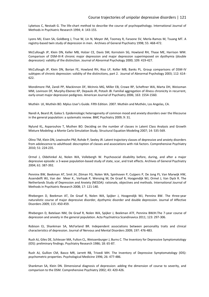Lyketsos C, Nestadt G. The life-chart method to describe the course of psychopathology. International Journal of Methods in Psychiatric Research 1994; 4: 143-155.

Lyons MJ, Eisen SA, Goldberg J, True W, Lin N, Meyer JM, Toomey R, Faraone SV, Merla-Ramos M, Tsuang MT. A registry-based twin study of depression in men. Archives of General Psychiatry 1998; 55: 468-472.

McCullough JP, Klein DN, Keller MB, Holzer CE, Davis SM, Kornstein SG, Howland RH, Thase ME, Harrison WM. Comparison of DSM-III-R chronic major depression and major depression superimposed on dysthymia (double depression): validity of the distinction. Journal of Abnormal Psychology 2000; 109: 419-427.

McCullough JP, Klein DN, Borian FE, Howland RH, Riso LP, Keller MB, Banks PL. Group comparisons of DSM-IV subtypes of chronic depression: validity of the distinctions, part 2. Journal of Abnormal Psychology 2003; 112: 614- 622.

Mondimore FM, Zandi PP, Mackinnon DF, McInnis MG, Miller EB, Crowe RP, Scheftner WA, Marta DH, Weissman MM, Levinson DF, Murphy-Ebenez KP, Depaulo JR, Potash JB. Familial aggregation of illness chronicity in recurrent, early-onset major depression pedigrees. American Journal of Psychiatry 2006; 163: 1554-1560.

Muthén LK, Muthén BO. Mplus User's Guide. Fifth Edition. 2007. Muthén and Muthén, Los Angelas, CA.

Nandi A, Beard JR, Galea S. Epidemiologic heterogeneity of common mood and anxiety disorders over the lifecourse in the general population: a systematic review. BMC Psychiatry 2009; 9: 31.

Nylund KL, Asparouhov T, Muthen BO. Deciding on the number of classes in Latent Class Analysis and Growth Mixture Modeling: a Monte Carlo Simulation Study. Structural Equation Modeling 2007; 14: 535-569.

Olino TM, Klein DN, Lewinsohn PM, Rohde P, Seeley JR. Latent trajectory classes of depressive and anxiety disorders from adolescence to adulthood: descroption of classes and associations with risk factors. Comprehensive Psychiatry 2010; 51: 224-235.

Ormel J, Oldehinkel AJ, Nolen WA, Vollebergh W. Psychosocial disability before, during, and after a major depressive episode: a 3-wave population-based study of state, scar, and trait effects. Archives of General Psychiatry 2004; 61: 387-392.

Penninx BW, Beekman AT, Smit JH, Zitman FG, Nolen WA, Spinhoven P, Cuijpers P, De Jong PJ, Van Marwijk HW, Assendelft WJ, Van der Meer K., Verhaak P, Wensing M, De Graaf R, Hoogendijk WJ, Ormel J, Van Dyck R. The Netherlands Study of Depression and Anxiety (NESDA): rationale, objectives and methods. International Journal of Methods in Psychiatric Research 2008; 17: 121-140.

Rhebergen D, Beekman AT, De Graaf R, Nolen WA, Spijker J, Hoogendijk WJ, Penninx BW. The three-year naturalistic course of major depressive disorder, dysthymic disorder and double depression. Journal of Affective Disorders 2009; 115: 450-459.

Rhebergen D, Batelaan NM, De Graaf R, Nolen WA, Spijker J, Beekman ATF, Penninx BWJH.The 7-year course of depression and anxiety in the general population. Acta Psychiatrica Scandinavica 2011; 123: 297-306.

Robison EJ, Shankman SA, McFarland BR. Independent associations between personality traits and clinical characteristics of depression. Journal of Nervous and Mental Disorders 2009; 197: 476-483.

Rush AJ, Giles DE, Schlesser MA, Fulton CL, Weissenburger J, Burns C. The Inventory for Depressive Symptomatology (IDS): preliminary findings. Psychiatry Research 1986; 18: 65-87.

Rush AJ, Gullion CM, Basco MR, Jarrett RB, Trivedi MH. The Inventory of Depressive Symptomatology (IDS): psychometric properties. Psychological Medicine 1996; 26: 477-486.

Shankman SA, Klein DN. Dimensional diagnosis of depression: adding the dimension of course to severity, and comparison to the DSM. Comprehensive Psychiatry 2002; 43: 420-426.